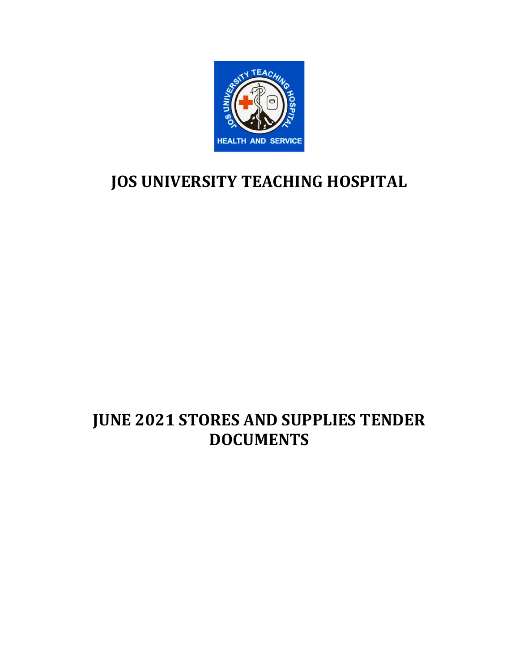

# JOS UNIVERSITY TEACHING HOSPITAL

# JUNE 2021 STORES AND SUPPLIES TENDER DOCUMENTS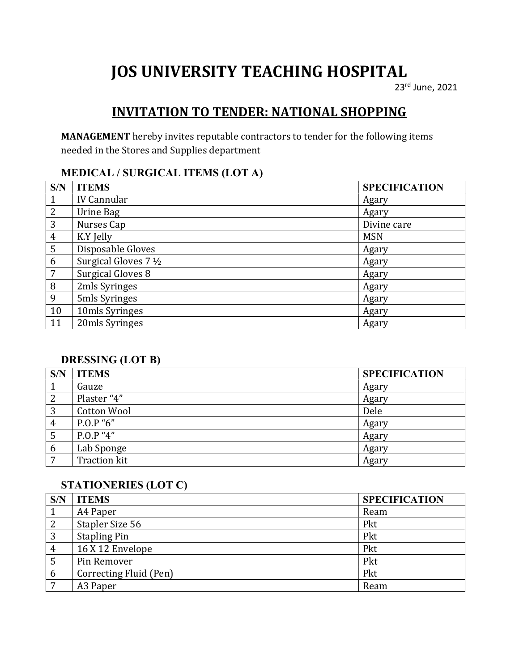# JOS UNIVERSITY TEACHING HOSPITAL

23rd June, 2021

# INVITATION TO TENDER: NATIONAL SHOPPING

MANAGEMENT hereby invites reputable contractors to tender for the following items needed in the Stores and Supplies department

### MEDICAL / SURGICAL ITEMS (LOT A)

| S/N            | <b>ITEMS</b>          | <b>SPECIFICATION</b> |
|----------------|-----------------------|----------------------|
| 1              | <b>IV Cannular</b>    | Agary                |
| $\overline{2}$ | Urine Bag             | Agary                |
| 3              | Nurses Cap            | Divine care          |
| $\overline{4}$ | K.Y Jelly             | <b>MSN</b>           |
| 5              | Disposable Gloves     | Agary                |
| 6              | Surgical Gloves 7 1/2 | Agary                |
| 7              | Surgical Gloves 8     | Agary                |
| 8              | 2mls Syringes         | Agary                |
| 9              | 5mls Syringes         | Agary                |
| 10             | 10mls Syringes        | Agary                |
| 11             | 20mls Syringes        | Agary                |

# DRESSING (LOT B)

| S/N | <b>ITEMS</b> | <b>SPECIFICATION</b> |
|-----|--------------|----------------------|
|     | Gauze        | Agary                |
| 2   | Plaster "4"  | Agary                |
| 3   | Cotton Wool  | Dele                 |
| 4   | P.O.P''6''   | Agary                |
| 5   | P.O.P''4''   | Agary                |
| 6   | Lab Sponge   | Agary                |
| 7   | Traction kit | Agary                |

# STATIONERIES (LOT C)

| S/N | <b>ITEMS</b>           | <b>SPECIFICATION</b> |
|-----|------------------------|----------------------|
|     | A4 Paper               | Ream                 |
| 2   | Stapler Size 56        | Pkt                  |
| 3   | <b>Stapling Pin</b>    | Pkt                  |
| 4   | 16 X 12 Envelope       | Pkt                  |
|     | Pin Remover            | Pkt                  |
| 6   | Correcting Fluid (Pen) | Pkt                  |
| ⇁   | A3 Paper               | Ream                 |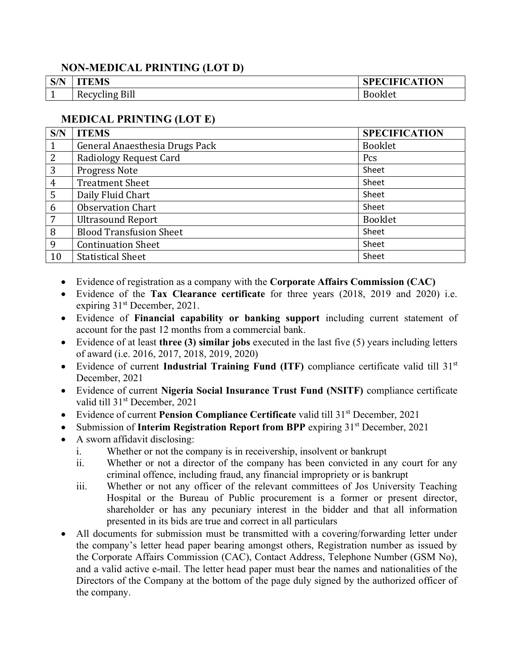### NON-MEDICAL PRINTING (LOT D)

| $Q$ $\mathbf{R}$ $\mathbf{T}$<br>' S/N | <b>ITEMS</b>      | <b>SPECIFICATION</b> |
|----------------------------------------|-------------------|----------------------|
| <u>. на так</u>                        | Bill<br>Recycling | Booklet              |

### MEDICAL PRINTING (LOT E)

| S/N            | <b>ITEMS</b>                   | <b>SPECIFICATION</b> |
|----------------|--------------------------------|----------------------|
| $\mathbf{1}$   | General Anaesthesia Drugs Pack | <b>Booklet</b>       |
| 2              | <b>Radiology Request Card</b>  | Pcs                  |
| 3              | Progress Note                  | Sheet                |
| $\overline{4}$ | <b>Treatment Sheet</b>         | Sheet                |
| 5              | Daily Fluid Chart              | Sheet                |
| 6              | <b>Observation Chart</b>       | Sheet                |
| 7              | <b>Ultrasound Report</b>       | <b>Booklet</b>       |
| 8              | <b>Blood Transfusion Sheet</b> | Sheet                |
| 9              | <b>Continuation Sheet</b>      | Sheet                |
| 10             | <b>Statistical Sheet</b>       | Sheet                |

- Evidence of registration as a company with the Corporate Affairs Commission (CAC)
- Evidence of the Tax Clearance certificate for three years (2018, 2019 and 2020) i.e. expiring  $31<sup>st</sup>$  December, 2021.
- Evidence of Financial capability or banking support including current statement of account for the past 12 months from a commercial bank.
- Evidence of at least three  $(3)$  similar jobs executed in the last five  $(5)$  years including letters of award (i.e. 2016, 2017, 2018, 2019, 2020)
- Evidence of current Industrial Training Fund (ITF) compliance certificate valid till 31<sup>st</sup> December, 2021
- Evidence of current Nigeria Social Insurance Trust Fund (NSITF) compliance certificate valid till 31<sup>st</sup> December, 2021
- Evidence of current Pension Compliance Certificate valid till 31<sup>st</sup> December, 2021
- Submission of Interim Registration Report from BPP expiring  $31<sup>st</sup>$  December, 2021
- A sworn affidavit disclosing:
	- i. Whether or not the company is in receivership, insolvent or bankrupt
	- ii. Whether or not a director of the company has been convicted in any court for any criminal offence, including fraud, any financial impropriety or is bankrupt
	- iii. Whether or not any officer of the relevant committees of Jos University Teaching Hospital or the Bureau of Public procurement is a former or present director, shareholder or has any pecuniary interest in the bidder and that all information presented in its bids are true and correct in all particulars
- All documents for submission must be transmitted with a covering/forwarding letter under the company's letter head paper bearing amongst others, Registration number as issued by the Corporate Affairs Commission (CAC), Contact Address, Telephone Number (GSM No), and a valid active e-mail. The letter head paper must bear the names and nationalities of the Directors of the Company at the bottom of the page duly signed by the authorized officer of the company.